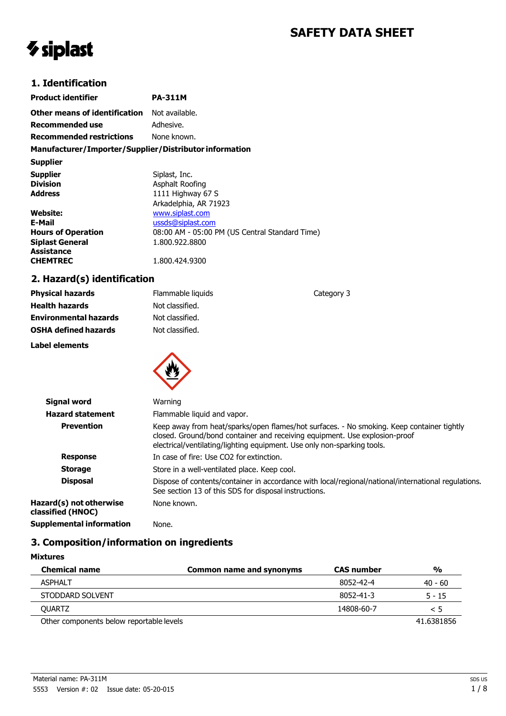# **SAFETY DATA SHEET**

# *V* siplast

## **1. Identification**

| <b>Product identifier</b>                              | <b>PA-311M</b>                                 |  |
|--------------------------------------------------------|------------------------------------------------|--|
| <b>Other means of identification</b> Not available.    |                                                |  |
| <b>Recommended use</b>                                 | Adhesive.                                      |  |
| <b>Recommended restrictions</b>                        | None known.                                    |  |
| Manufacturer/Importer/Supplier/Distributor information |                                                |  |
| <b>Supplier</b>                                        |                                                |  |
| <b>Supplier</b>                                        | Siplast, Inc.                                  |  |
| <b>Division</b>                                        | Asphalt Roofing                                |  |
| <b>Address</b>                                         | 1111 Highway 67 S                              |  |
|                                                        | Arkadelphia, AR 71923                          |  |
| Website:                                               | www.siplast.com                                |  |
| E-Mail                                                 | ussds@siplast.com                              |  |
| <b>Hours of Operation</b>                              | 08:00 AM - 05:00 PM (US Central Standard Time) |  |
| <b>Siplast General</b>                                 | 1.800.922.8800                                 |  |
| Assistance                                             |                                                |  |
| <b>CHEMTREC</b>                                        | 1.800.424.9300                                 |  |

## **2. Hazard(s) identification**

| <b>Physical hazards</b>      | Flammable liquids                                                                                                                                                                                                                                  | Category 3                                                                                          |
|------------------------------|----------------------------------------------------------------------------------------------------------------------------------------------------------------------------------------------------------------------------------------------------|-----------------------------------------------------------------------------------------------------|
| <b>Health hazards</b>        | Not classified.                                                                                                                                                                                                                                    |                                                                                                     |
| <b>Environmental hazards</b> | Not classified.                                                                                                                                                                                                                                    |                                                                                                     |
| <b>OSHA defined hazards</b>  | Not classified.                                                                                                                                                                                                                                    |                                                                                                     |
| Label elements               |                                                                                                                                                                                                                                                    |                                                                                                     |
|                              |                                                                                                                                                                                                                                                    |                                                                                                     |
| Signal word                  | Warning                                                                                                                                                                                                                                            |                                                                                                     |
| <b>Hazard statement</b>      | Flammable liquid and vapor.                                                                                                                                                                                                                        |                                                                                                     |
| <b>Prevention</b>            | Keep away from heat/sparks/open flames/hot surfaces. - No smoking. Keep container tightly<br>closed. Ground/bond container and receiving equipment. Use explosion-proof<br>electrical/ventilating/lighting equipment. Use only non-sparking tools. |                                                                                                     |
| <b>Response</b>              | In case of fire: Use CO2 for extinction.                                                                                                                                                                                                           |                                                                                                     |
| <b>Storage</b>               | Store in a well-ventilated place. Keep cool.                                                                                                                                                                                                       |                                                                                                     |
| <b>Disposal</b>              | See section 13 of this SDS for disposal instructions.                                                                                                                                                                                              | Dispose of contents/container in accordance with local/regional/national/international regulations. |

**Hazard(s) not otherwise classified (HNOC) Supplemental information** None.

## **3. Composition/information on ingredients**

None known.

#### **Mixtures**

| <b>Chemical name</b>                     | <b>Common name and synonyms</b> | <b>CAS</b> number | $\frac{0}{0}$ |
|------------------------------------------|---------------------------------|-------------------|---------------|
| <b>ASPHALT</b>                           |                                 | 8052-42-4         | $40 - 60$     |
| STODDARD SOLVENT                         |                                 | 8052-41-3         | $5 - 15$      |
| <b>OUARTZ</b>                            |                                 | 14808-60-7        | $\leq 5$      |
| Other components below reportable levels |                                 |                   | 41.6381856    |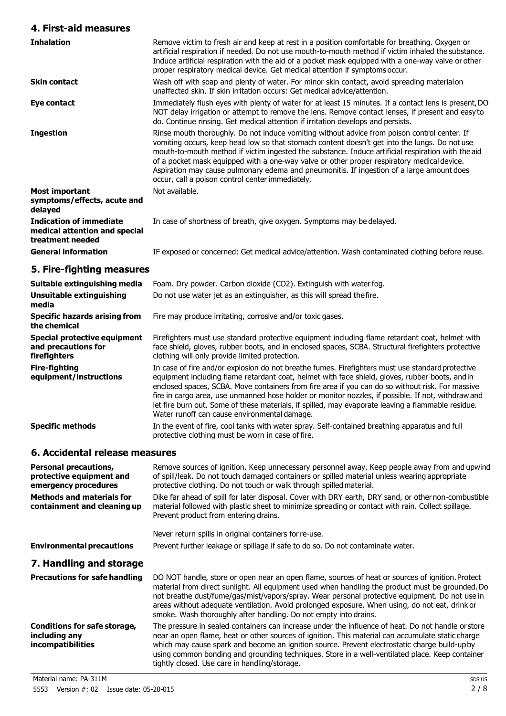## **4. First-aid measures**

| <b>Inhalation</b>                                                                   | Remove victim to fresh air and keep at rest in a position comfortable for breathing. Oxygen or<br>artificial respiration if needed. Do not use mouth-to-mouth method if victim inhaled the substance.<br>Induce artificial respiration with the aid of a pocket mask equipped with a one-way valve or other<br>proper respiratory medical device. Get medical attention if symptoms occur.                                                                                                                                                         |
|-------------------------------------------------------------------------------------|----------------------------------------------------------------------------------------------------------------------------------------------------------------------------------------------------------------------------------------------------------------------------------------------------------------------------------------------------------------------------------------------------------------------------------------------------------------------------------------------------------------------------------------------------|
| <b>Skin contact</b>                                                                 | Wash off with soap and plenty of water. For minor skin contact, avoid spreading materialon<br>unaffected skin. If skin irritation occurs: Get medical advice/attention.                                                                                                                                                                                                                                                                                                                                                                            |
| Eye contact                                                                         | Immediately flush eyes with plenty of water for at least 15 minutes. If a contact lens is present, DO<br>NOT delay irrigation or attempt to remove the lens. Remove contact lenses, if present and easy to<br>do. Continue rinsing. Get medical attention if irritation develops and persists.                                                                                                                                                                                                                                                     |
| <b>Ingestion</b>                                                                    | Rinse mouth thoroughly. Do not induce vomiting without advice from poison control center. If<br>vomiting occurs, keep head low so that stomach content doesn't get into the lungs. Do not use<br>mouth-to-mouth method if victim ingested the substance. Induce artificial respiration with the aid<br>of a pocket mask equipped with a one-way valve or other proper respiratory medical device.<br>Aspiration may cause pulmonary edema and pneumonitis. If ingestion of a large amount does<br>occur, call a poison control center immediately. |
| <b>Most important</b><br>symptoms/effects, acute and<br>delayed                     | Not available.                                                                                                                                                                                                                                                                                                                                                                                                                                                                                                                                     |
| <b>Indication of immediate</b><br>medical attention and special<br>treatment needed | In case of shortness of breath, give oxygen. Symptoms may be delayed.                                                                                                                                                                                                                                                                                                                                                                                                                                                                              |
| <b>General information</b>                                                          | IF exposed or concerned: Get medical advice/attention. Wash contaminated clothing before reuse.                                                                                                                                                                                                                                                                                                                                                                                                                                                    |
| 5. Fire-fighting measures                                                           |                                                                                                                                                                                                                                                                                                                                                                                                                                                                                                                                                    |
| Suitable extinguishing media                                                        | Foam. Dry powder. Carbon dioxide (CO2). Extinguish with water fog.                                                                                                                                                                                                                                                                                                                                                                                                                                                                                 |

| Suitable extinguishing media                                        | Foam. Dry powder. Carbon dioxide (CO2). Extinguish with water fog.                                                                                                                                                                                                                                                                                                                                                                                                                                                                                                  |  |  |
|---------------------------------------------------------------------|---------------------------------------------------------------------------------------------------------------------------------------------------------------------------------------------------------------------------------------------------------------------------------------------------------------------------------------------------------------------------------------------------------------------------------------------------------------------------------------------------------------------------------------------------------------------|--|--|
| Unsuitable extinguishing<br>media                                   | Do not use water jet as an extinguisher, as this will spread the fire.                                                                                                                                                                                                                                                                                                                                                                                                                                                                                              |  |  |
| Specific hazards arising from<br>the chemical                       | Fire may produce irritating, corrosive and/or toxic gases.                                                                                                                                                                                                                                                                                                                                                                                                                                                                                                          |  |  |
| Special protective equipment<br>and precautions for<br>firefighters | Firefighters must use standard protective equipment including flame retardant coat, helmet with<br>face shield, gloves, rubber boots, and in enclosed spaces, SCBA. Structural firefighters protective<br>clothing will only provide limited protection.                                                                                                                                                                                                                                                                                                            |  |  |
| <b>Fire-fighting</b><br>equipment/instructions                      | In case of fire and/or explosion do not breathe fumes. Firefighters must use standard protective<br>equipment including flame retardant coat, helmet with face shield, gloves, rubber boots, and in<br>enclosed spaces, SCBA. Move containers from fire area if you can do so without risk. For massive<br>fire in cargo area, use unmanned hose holder or monitor nozzles, if possible. If not, withdraw and<br>let fire burn out. Some of these materials, if spilled, may evaporate leaving a flammable residue.<br>Water runoff can cause environmental damage. |  |  |
| <b>Specific methods</b>                                             | In the event of fire, cool tanks with water spray. Self-contained breathing apparatus and full<br>protective clothing must be worn in case of fire.                                                                                                                                                                                                                                                                                                                                                                                                                 |  |  |

## **6. Accidental release measures**

| <b>Personal precautions,</b><br>protective equipment and<br>emergency procedures | Remove sources of ignition. Keep unnecessary personnel away. Keep people away from and upwind<br>of spill/leak. Do not touch damaged containers or spilled material unless wearing appropriate<br>protective clothing. Do not touch or walk through spilled material.                                                                                                                                                                                                        |  |
|----------------------------------------------------------------------------------|------------------------------------------------------------------------------------------------------------------------------------------------------------------------------------------------------------------------------------------------------------------------------------------------------------------------------------------------------------------------------------------------------------------------------------------------------------------------------|--|
| <b>Methods and materials for</b><br>containment and cleaning up                  | Dike far ahead of spill for later disposal. Cover with DRY earth, DRY sand, or other non-combustible<br>material followed with plastic sheet to minimize spreading or contact with rain. Collect spillage.<br>Prevent product from entering drains.                                                                                                                                                                                                                          |  |
|                                                                                  | Never return spills in original containers for re-use.                                                                                                                                                                                                                                                                                                                                                                                                                       |  |
| <b>Environmental precautions</b>                                                 | Prevent further leakage or spillage if safe to do so. Do not contaminate water.                                                                                                                                                                                                                                                                                                                                                                                              |  |
| 7. Handling and storage                                                          |                                                                                                                                                                                                                                                                                                                                                                                                                                                                              |  |
| <b>Precautions for safe handling</b>                                             | DO NOT handle, store or open near an open flame, sources of heat or sources of ignition. Protect<br>material from direct sunlight. All equipment used when handling the product must be grounded. Do<br>not breathe dust/fume/gas/mist/vapors/spray. Wear personal protective equipment. Do not use in<br>areas without adequate ventilation. Avoid prolonged exposure. When using, do not eat, drink or<br>smoke. Wash thoroughly after handling. Do not empty into drains. |  |
| Conditions for safe storage,<br>including any<br><i>incompatibilities</i>        | The pressure in sealed containers can increase under the influence of heat. Do not handle orstore<br>near an open flame, heat or other sources of ignition. This material can accumulate static charge<br>which may cause spark and become an ignition source. Prevent electrostatic charge build-up by<br>using common bonding and grounding techniques. Store in a well-ventilated place. Keep container<br>tightly closed. Use care in handling/storage.                  |  |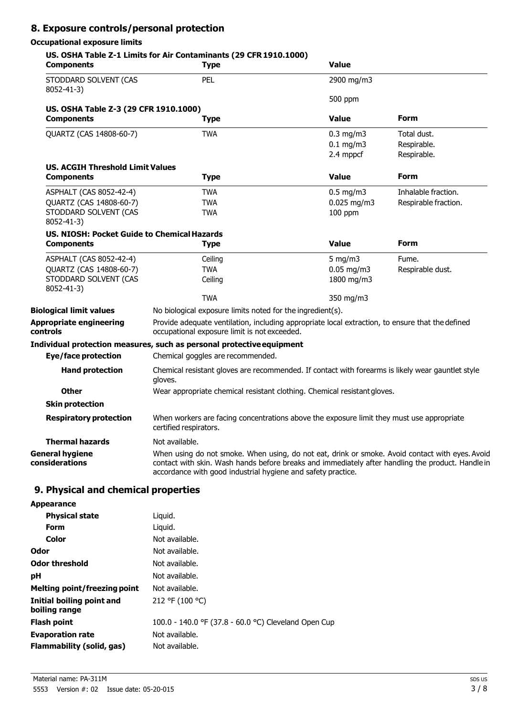## **8. Exposure controls/personal protection**

## **Occupational exposure limits**

| <b>Components</b>                                  | <b>Type</b>                                                                                                                                                                                                                                                          | <b>Value</b>   |                      |
|----------------------------------------------------|----------------------------------------------------------------------------------------------------------------------------------------------------------------------------------------------------------------------------------------------------------------------|----------------|----------------------|
| STODDARD SOLVENT (CAS<br>$8052 - 41 - 3$           | PEL                                                                                                                                                                                                                                                                  | 2900 mg/m3     |                      |
|                                                    |                                                                                                                                                                                                                                                                      | 500 ppm        |                      |
| US. OSHA Table Z-3 (29 CFR 1910.1000)              |                                                                                                                                                                                                                                                                      |                |                      |
| <b>Components</b>                                  | <b>Type</b>                                                                                                                                                                                                                                                          | <b>Value</b>   | Form                 |
| <b>OUARTZ (CAS 14808-60-7)</b>                     | <b>TWA</b>                                                                                                                                                                                                                                                           | $0.3$ mg/m $3$ | Total dust.          |
|                                                    |                                                                                                                                                                                                                                                                      | $0.1$ mg/m3    | Respirable.          |
|                                                    |                                                                                                                                                                                                                                                                      | 2.4 mppcf      | Respirable.          |
| <b>US. ACGIH Threshold Limit Values</b>            |                                                                                                                                                                                                                                                                      |                |                      |
| <b>Components</b>                                  | <b>Type</b>                                                                                                                                                                                                                                                          | <b>Value</b>   | Form                 |
| ASPHALT (CAS 8052-42-4)                            | <b>TWA</b>                                                                                                                                                                                                                                                           | $0.5$ mg/m3    | Inhalable fraction.  |
| QUARTZ (CAS 14808-60-7)                            | <b>TWA</b>                                                                                                                                                                                                                                                           | $0.025$ mg/m3  | Respirable fraction. |
| STODDARD SOLVENT (CAS                              | <b>TWA</b>                                                                                                                                                                                                                                                           | 100 ppm        |                      |
| 8052-41-3)                                         |                                                                                                                                                                                                                                                                      |                |                      |
| <b>US. NIOSH: Pocket Guide to Chemical Hazards</b> |                                                                                                                                                                                                                                                                      |                |                      |
| <b>Components</b>                                  | <b>Type</b>                                                                                                                                                                                                                                                          | <b>Value</b>   | <b>Form</b>          |
| ASPHALT (CAS 8052-42-4)                            | Ceiling                                                                                                                                                                                                                                                              | 5 mg/m $3$     | Fume.                |
| QUARTZ (CAS 14808-60-7)                            | <b>TWA</b>                                                                                                                                                                                                                                                           | $0.05$ mg/m3   | Respirable dust.     |
| STODDARD SOLVENT (CAS<br>8052-41-3)                | Ceiling                                                                                                                                                                                                                                                              | 1800 mg/m3     |                      |
|                                                    | <b>TWA</b>                                                                                                                                                                                                                                                           | 350 mg/m3      |                      |
| <b>Biological limit values</b>                     | No biological exposure limits noted for the ingredient(s).                                                                                                                                                                                                           |                |                      |
| <b>Appropriate engineering</b><br>controls         | Provide adequate ventilation, including appropriate local extraction, to ensure that the defined<br>occupational exposure limit is not exceeded.                                                                                                                     |                |                      |
|                                                    | Individual protection measures, such as personal protective equipment                                                                                                                                                                                                |                |                      |
| <b>Eye/face protection</b>                         | Chemical goggles are recommended.                                                                                                                                                                                                                                    |                |                      |
| <b>Hand protection</b>                             | Chemical resistant gloves are recommended. If contact with forearms is likely wear gauntlet style<br>gloves.                                                                                                                                                         |                |                      |
| <b>Other</b>                                       | Wear appropriate chemical resistant clothing. Chemical resistant gloves.                                                                                                                                                                                             |                |                      |
| <b>Skin protection</b>                             |                                                                                                                                                                                                                                                                      |                |                      |
| <b>Respiratory protection</b>                      | When workers are facing concentrations above the exposure limit they must use appropriate<br>certified respirators.                                                                                                                                                  |                |                      |
| <b>Thermal hazards</b>                             | Not available.                                                                                                                                                                                                                                                       |                |                      |
| <b>General hygiene</b><br>considerations           | When using do not smoke. When using, do not eat, drink or smoke. Avoid contact with eyes. Avoid<br>contact with skin. Wash hands before breaks and immediately after handling the product. Handle in<br>accordance with good industrial hygiene and safety practice. |                |                      |

# **9. Physical and chemical properties**

| Liguid.                                              |
|------------------------------------------------------|
| Liguid.                                              |
| Not available.                                       |
| Not available.                                       |
| Not available.                                       |
| Not available.                                       |
| Not available.                                       |
| 212 °F (100 °C)                                      |
| 100.0 - 140.0 °F (37.8 - 60.0 °C) Cleveland Open Cup |
| Not available.                                       |
| Not available.                                       |
|                                                      |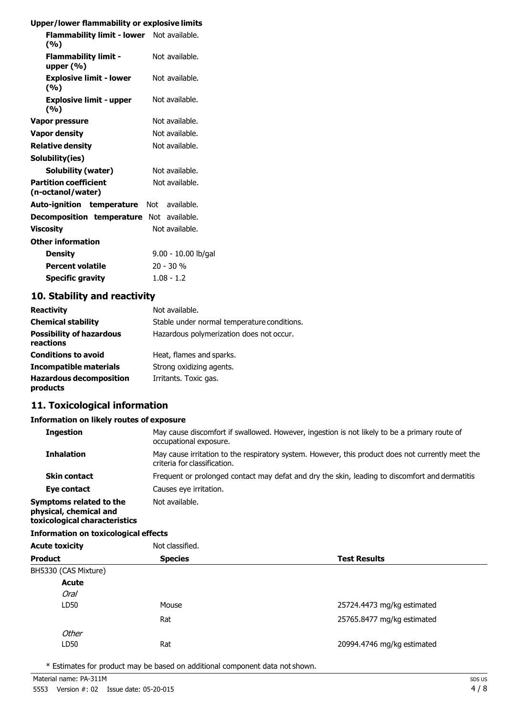#### **Upper/lower flammability or explosive limits**

| Flammability limit - lower Not available.<br>(%)  |                     |
|---------------------------------------------------|---------------------|
| <b>Flammability limit -</b><br>upper $(\% )$      | Not available.      |
| <b>Explosive limit - lower</b><br>(%)             | Not available.      |
| <b>Explosive limit - upper</b><br>(%)             | Not available.      |
| Vapor pressure                                    | Not available.      |
| Vapor density                                     | Not available.      |
| <b>Relative density</b>                           | Not available.      |
| Solubility(ies)                                   |                     |
| Solubility (water)                                | Not available.      |
| <b>Partition coefficient</b><br>(n-octanol/water) | Not available.      |
| Auto-ignition temperature Not available.          |                     |
| <b>Decomposition temperature</b> Not available.   |                     |
| Viscosity                                         | Not available.      |
| <b>Other information</b>                          |                     |
| <b>Density</b>                                    | 9.00 - 10.00 lb/gal |
| <b>Percent volatile</b>                           | 20 - 30 %           |
| <b>Specific gravity</b>                           | $1.08 - 1.2$        |

### **10. Stability and reactivity**

| <b>Reactivity</b>                            | Not available.                              |
|----------------------------------------------|---------------------------------------------|
| <b>Chemical stability</b>                    | Stable under normal temperature conditions. |
| <b>Possibility of hazardous</b><br>reactions | Hazardous polymerization does not occur.    |
| <b>Conditions to avoid</b>                   | Heat, flames and sparks.                    |
| <b>Incompatible materials</b>                | Strong oxidizing agents.                    |
| <b>Hazardous decomposition</b><br>products   | Irritants. Toxic gas.                       |

## **11. Toxicological information**

#### **Information on likely routes of exposure**

| <b>Ingestion</b>                                                                   | May cause discomfort if swallowed. However, ingestion is not likely to be a primary route of<br>occupational exposure.            |  |
|------------------------------------------------------------------------------------|-----------------------------------------------------------------------------------------------------------------------------------|--|
| <b>Inhalation</b>                                                                  | May cause irritation to the respiratory system. However, this product does not currently meet the<br>criteria for classification. |  |
| <b>Skin contact</b>                                                                | Frequent or prolonged contact may defat and dry the skin, leading to discomfort and dermatitis                                    |  |
| Eye contact                                                                        | Causes eye irritation.                                                                                                            |  |
| Symptoms related to the<br>physical, chemical and<br>toxicological characteristics | Not available.                                                                                                                    |  |

#### **Information on toxicological effects**

| <b>Acute toxicity</b><br><b>Product</b> |                      | Not classified. |                            |
|-----------------------------------------|----------------------|-----------------|----------------------------|
|                                         |                      | <b>Species</b>  | <b>Test Results</b>        |
|                                         | BH5330 (CAS Mixture) |                 |                            |
|                                         | <b>Acute</b>         |                 |                            |
|                                         | <b>Oral</b>          |                 |                            |
|                                         | LD50                 | Mouse           | 25724.4473 mg/kg estimated |
|                                         |                      | Rat             | 25765.8477 mg/kg estimated |
|                                         | Other                |                 |                            |
|                                         | LD50                 | Rat             | 20994.4746 mg/kg estimated |

\* Estimates for product may be based on additional component data not shown.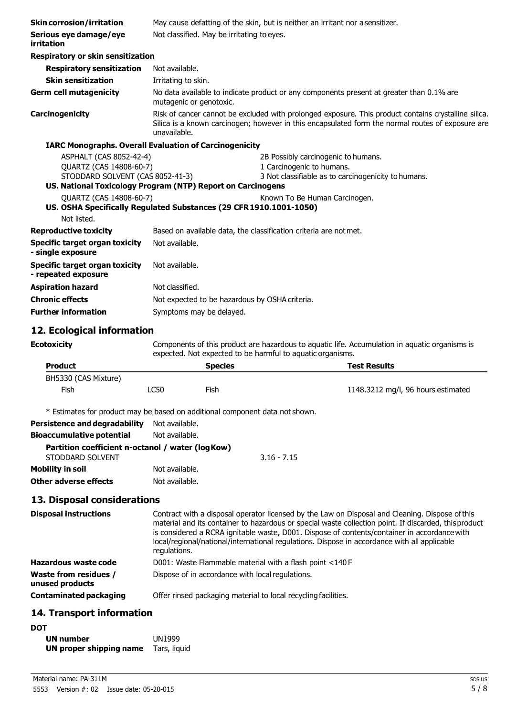| <b>Skin corrosion/irritation</b>                                                                | May cause defatting of the skin, but is neither an irritant nor a sensitizer. |                                                                                                                                                                                                           |                                     |                                                                                                |
|-------------------------------------------------------------------------------------------------|-------------------------------------------------------------------------------|-----------------------------------------------------------------------------------------------------------------------------------------------------------------------------------------------------------|-------------------------------------|------------------------------------------------------------------------------------------------|
| Serious eye damage/eye<br>irritation                                                            | Not classified. May be irritating to eyes.                                    |                                                                                                                                                                                                           |                                     |                                                                                                |
| <b>Respiratory or skin sensitization</b>                                                        |                                                                               |                                                                                                                                                                                                           |                                     |                                                                                                |
| <b>Respiratory sensitization</b>                                                                | Not available.                                                                |                                                                                                                                                                                                           |                                     |                                                                                                |
| <b>Skin sensitization</b>                                                                       | Irritating to skin.                                                           |                                                                                                                                                                                                           |                                     |                                                                                                |
| <b>Germ cell mutagenicity</b>                                                                   |                                                                               | No data available to indicate product or any components present at greater than 0.1% are<br>mutagenic or genotoxic.                                                                                       |                                     |                                                                                                |
| Carcinogenicity                                                                                 | unavailable.                                                                  | Risk of cancer cannot be excluded with prolonged exposure. This product contains crystalline silica.<br>Silica is a known carcinogen; however in this encapsulated form the normal routes of exposure are |                                     |                                                                                                |
| <b>IARC Monographs. Overall Evaluation of Carcinogenicity</b>                                   |                                                                               |                                                                                                                                                                                                           |                                     |                                                                                                |
| ASPHALT (CAS 8052-42-4)                                                                         |                                                                               |                                                                                                                                                                                                           | 2B Possibly carcinogenic to humans. |                                                                                                |
| QUARTZ (CAS 14808-60-7)                                                                         |                                                                               |                                                                                                                                                                                                           | 1 Carcinogenic to humans.           |                                                                                                |
| STODDARD SOLVENT (CAS 8052-41-3)<br>US. National Toxicology Program (NTP) Report on Carcinogens |                                                                               |                                                                                                                                                                                                           |                                     | 3 Not classifiable as to carcinogenicity to humans.                                            |
|                                                                                                 |                                                                               |                                                                                                                                                                                                           |                                     |                                                                                                |
| QUARTZ (CAS 14808-60-7)<br>US. OSHA Specifically Regulated Substances (29 CFR 1910.1001-1050)   |                                                                               |                                                                                                                                                                                                           | Known To Be Human Carcinogen.       |                                                                                                |
| Not listed.                                                                                     |                                                                               |                                                                                                                                                                                                           |                                     |                                                                                                |
| <b>Reproductive toxicity</b>                                                                    |                                                                               | Based on available data, the classification criteria are not met.                                                                                                                                         |                                     |                                                                                                |
| <b>Specific target organ toxicity</b><br>- single exposure                                      | Not available.                                                                |                                                                                                                                                                                                           |                                     |                                                                                                |
| <b>Specific target organ toxicity</b><br>- repeated exposure                                    | Not available.                                                                |                                                                                                                                                                                                           |                                     |                                                                                                |
| <b>Aspiration hazard</b>                                                                        | Not classified.                                                               |                                                                                                                                                                                                           |                                     |                                                                                                |
| <b>Chronic effects</b>                                                                          |                                                                               | Not expected to be hazardous by OSHA criteria.                                                                                                                                                            |                                     |                                                                                                |
| <b>Further information</b>                                                                      |                                                                               | Symptoms may be delayed.                                                                                                                                                                                  |                                     |                                                                                                |
| 12. Ecological information                                                                      |                                                                               |                                                                                                                                                                                                           |                                     |                                                                                                |
| <b>Ecotoxicity</b>                                                                              |                                                                               | expected. Not expected to be harmful to aquatic organisms.                                                                                                                                                |                                     | Components of this product are hazardous to aquatic life. Accumulation in aquatic organisms is |
| <b>Product</b>                                                                                  |                                                                               | <b>Species</b>                                                                                                                                                                                            |                                     | <b>Test Results</b>                                                                            |
| BH5330 (CAS Mixture)                                                                            |                                                                               |                                                                                                                                                                                                           |                                     |                                                                                                |
| Fish                                                                                            | <b>LC50</b>                                                                   | Fish                                                                                                                                                                                                      |                                     | 1148.3212 mg/l, 96 hours estimated                                                             |

\* Estimates for product may be based on additional component data not shown.

| <b>Persistence and degradability</b>                                  | Not available. |               |
|-----------------------------------------------------------------------|----------------|---------------|
| <b>Bioaccumulative potential</b>                                      | Not available. |               |
| Partition coefficient n-octanol / water (log Kow)<br>STODDARD SOLVENT |                | $3.16 - 7.15$ |
| <b>Mobility in soil</b>                                               | Not available. |               |
| Other adverse effects                                                 | Not available. |               |

# **13. Disposal considerations**

| <b>Disposal instructions</b>                    | Contract with a disposal operator licensed by the Law on Disposal and Cleaning. Dispose of this<br>material and its container to hazardous or special waste collection point. If discarded, this product<br>is considered a RCRA ignitable waste, D001. Dispose of contents/container in accordance with<br>local/regional/national/international regulations. Dispose in accordance with all applicable<br>regulations. |
|-------------------------------------------------|--------------------------------------------------------------------------------------------------------------------------------------------------------------------------------------------------------------------------------------------------------------------------------------------------------------------------------------------------------------------------------------------------------------------------|
| <b>Hazardous waste code</b>                     | D001: Waste Flammable material with a flash point <140 F                                                                                                                                                                                                                                                                                                                                                                 |
| <b>Waste from residues /</b><br>unused products | Dispose of in accordance with local regulations.                                                                                                                                                                                                                                                                                                                                                                         |
| <b>Contaminated packaging</b>                   | Offer rinsed packaging material to local recycling facilities.                                                                                                                                                                                                                                                                                                                                                           |

# **14. Transport information**

| <b>DOT</b>              |               |
|-------------------------|---------------|
| <b>UN number</b>        | <b>UN1999</b> |
| UN proper shipping name | Tars, liguid  |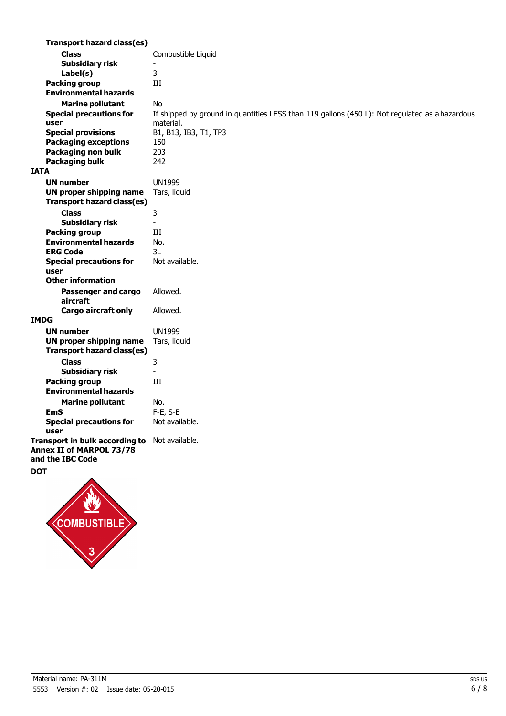| <b>Transport hazard class(es)</b> |                                                                                                |
|-----------------------------------|------------------------------------------------------------------------------------------------|
|                                   |                                                                                                |
| <b>Class</b>                      | Combustible Liquid                                                                             |
| <b>Subsidiary risk</b>            |                                                                                                |
| Label(s)                          | 3                                                                                              |
| <b>Packing group</b>              | III                                                                                            |
| <b>Environmental hazards</b>      |                                                                                                |
| <b>Marine pollutant</b>           | <b>No</b>                                                                                      |
| <b>Special precautions for</b>    | If shipped by ground in quantities LESS than 119 gallons (450 L): Not regulated as a hazardous |
| user                              | material.                                                                                      |
| <b>Special provisions</b>         | B1, B13, IB3, T1, TP3                                                                          |
| <b>Packaging exceptions</b>       | 150                                                                                            |
| Packaging non bulk                | 203                                                                                            |
| <b>Packaging bulk</b>             | 242                                                                                            |
| <b>IATA</b>                       |                                                                                                |
| <b>UN number</b>                  | <b>UN1999</b>                                                                                  |
| <b>UN proper shipping name</b>    | Tars, liquid                                                                                   |
| <b>Transport hazard class(es)</b> |                                                                                                |
| <b>Class</b>                      | 3                                                                                              |
| <b>Subsidiary risk</b>            | $\overline{\phantom{a}}$                                                                       |
| <b>Packing group</b>              | III                                                                                            |
| <b>Environmental hazards</b>      | No.                                                                                            |
| <b>ERG Code</b>                   | 3L                                                                                             |
| <b>Special precautions for</b>    | Not available.                                                                                 |
| user                              |                                                                                                |
| <b>Other information</b>          |                                                                                                |
| Passenger and cargo               | Allowed.                                                                                       |
| aircraft                          |                                                                                                |
| <b>Cargo aircraft only</b>        | Allowed.                                                                                       |
| <b>IMDG</b>                       |                                                                                                |
| <b>UN number</b>                  | <b>UN1999</b>                                                                                  |
| <b>UN proper shipping name</b>    | Tars, liquid                                                                                   |
| <b>Transport hazard class(es)</b> |                                                                                                |
| <b>Class</b>                      | 3                                                                                              |
| <b>Subsidiary risk</b>            |                                                                                                |
| <b>Packing group</b>              | III                                                                                            |
| <b>Environmental hazards</b>      |                                                                                                |
| <b>Marine pollutant</b>           | No.                                                                                            |
| <b>EmS</b>                        | F-E, S-E                                                                                       |
| <b>Special precautions for</b>    | Not available.                                                                                 |
| user                              |                                                                                                |
| Transport in bulk according to    | Not available.                                                                                 |
| Annex II of MARPOL 73/78          |                                                                                                |
| and the IBC Code                  |                                                                                                |
| <b>DOT</b>                        |                                                                                                |
|                                   |                                                                                                |

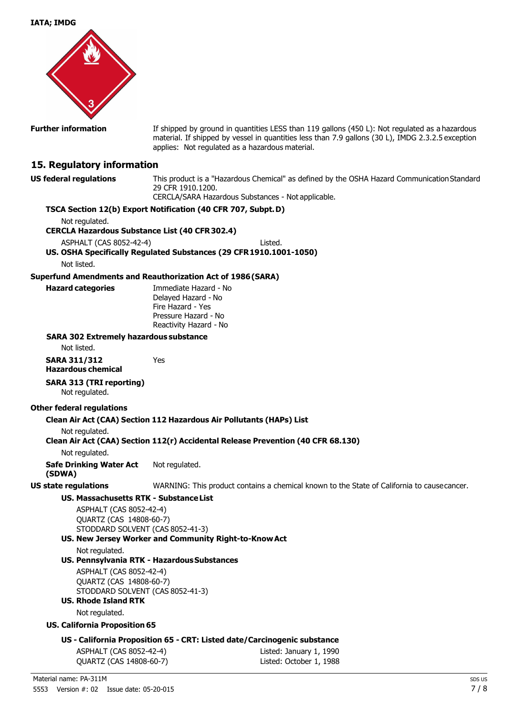**IATA; IMDG**



**Further information** If shipped by ground in quantities LESS than 119 gallons (450 L): Not regulated as a hazardous material. If shipped by vessel in quantities less than 7.9 gallons (30 L), IMDG 2.3.2.5 exception applies: Not regulated as a hazardous material.

## **15. Regulatory information**

**US federal regulations** This product is a "Hazardous Chemical" as defined by the OSHA Hazard Communication Standard 29 CFR 1910.1200. CERCLA/SARA Hazardous Substances - Not applicable.

|                                                                                                                                         |                                                                                                                     | CERCLA/SARA Hazardous Substances - Not applicable.                                         |
|-----------------------------------------------------------------------------------------------------------------------------------------|---------------------------------------------------------------------------------------------------------------------|--------------------------------------------------------------------------------------------|
| TSCA Section 12(b) Export Notification (40 CFR 707, Subpt. D)                                                                           |                                                                                                                     |                                                                                            |
| Not regulated.                                                                                                                          |                                                                                                                     |                                                                                            |
| <b>CERCLA Hazardous Substance List (40 CFR 302.4)</b>                                                                                   |                                                                                                                     |                                                                                            |
| ASPHALT (CAS 8052-42-4)                                                                                                                 |                                                                                                                     | Listed.                                                                                    |
| US. OSHA Specifically Regulated Substances (29 CFR 1910.1001-1050)                                                                      |                                                                                                                     |                                                                                            |
| Not listed.                                                                                                                             |                                                                                                                     |                                                                                            |
| <b>Superfund Amendments and Reauthorization Act of 1986 (SARA)</b>                                                                      |                                                                                                                     |                                                                                            |
| <b>Hazard categories</b>                                                                                                                | Immediate Hazard - No<br>Delayed Hazard - No<br>Fire Hazard - Yes<br>Pressure Hazard - No<br>Reactivity Hazard - No |                                                                                            |
| <b>SARA 302 Extremely hazardous substance</b>                                                                                           |                                                                                                                     |                                                                                            |
| Not listed.                                                                                                                             |                                                                                                                     |                                                                                            |
| <b>SARA 311/312</b><br><b>Hazardous chemical</b>                                                                                        | Yes                                                                                                                 |                                                                                            |
| <b>SARA 313 (TRI reporting)</b><br>Not regulated.                                                                                       |                                                                                                                     |                                                                                            |
| <b>Other federal regulations</b>                                                                                                        |                                                                                                                     |                                                                                            |
| Clean Air Act (CAA) Section 112 Hazardous Air Pollutants (HAPs) List                                                                    |                                                                                                                     |                                                                                            |
| Not regulated.                                                                                                                          |                                                                                                                     |                                                                                            |
|                                                                                                                                         |                                                                                                                     | Clean Air Act (CAA) Section 112(r) Accidental Release Prevention (40 CFR 68.130)           |
| Not regulated.                                                                                                                          |                                                                                                                     |                                                                                            |
| <b>Safe Drinking Water Act</b><br>(SDWA)                                                                                                | Not regulated.                                                                                                      |                                                                                            |
| <b>US state regulations</b>                                                                                                             |                                                                                                                     | WARNING: This product contains a chemical known to the State of California to causecancer. |
| US. Massachusetts RTK - Substance List                                                                                                  |                                                                                                                     |                                                                                            |
| ASPHALT (CAS 8052-42-4)<br>QUARTZ (CAS 14808-60-7)<br>STODDARD SOLVENT (CAS 8052-41-3)                                                  | US. New Jersey Worker and Community Right-to-Know Act                                                               |                                                                                            |
| Not regulated.                                                                                                                          | US. Pennsylvania RTK - Hazardous Substances                                                                         |                                                                                            |
| ASPHALT (CAS 8052-42-4)<br>QUARTZ (CAS 14808-60-7)<br>STODDARD SOLVENT (CAS 8052-41-3)<br><b>US. Rhode Island RTK</b><br>Not regulated. |                                                                                                                     |                                                                                            |
| <b>US. California Proposition 65</b>                                                                                                    |                                                                                                                     |                                                                                            |
|                                                                                                                                         |                                                                                                                     |                                                                                            |
|                                                                                                                                         |                                                                                                                     | US - California Proposition 65 - CRT: Listed date/Carcinogenic substance                   |
| ASPHALT (CAS 8052-42-4)<br>QUARTZ (CAS 14808-60-7)                                                                                      |                                                                                                                     | Listed: January 1, 1990<br>Listed: October 1, 1988                                         |
|                                                                                                                                         |                                                                                                                     |                                                                                            |